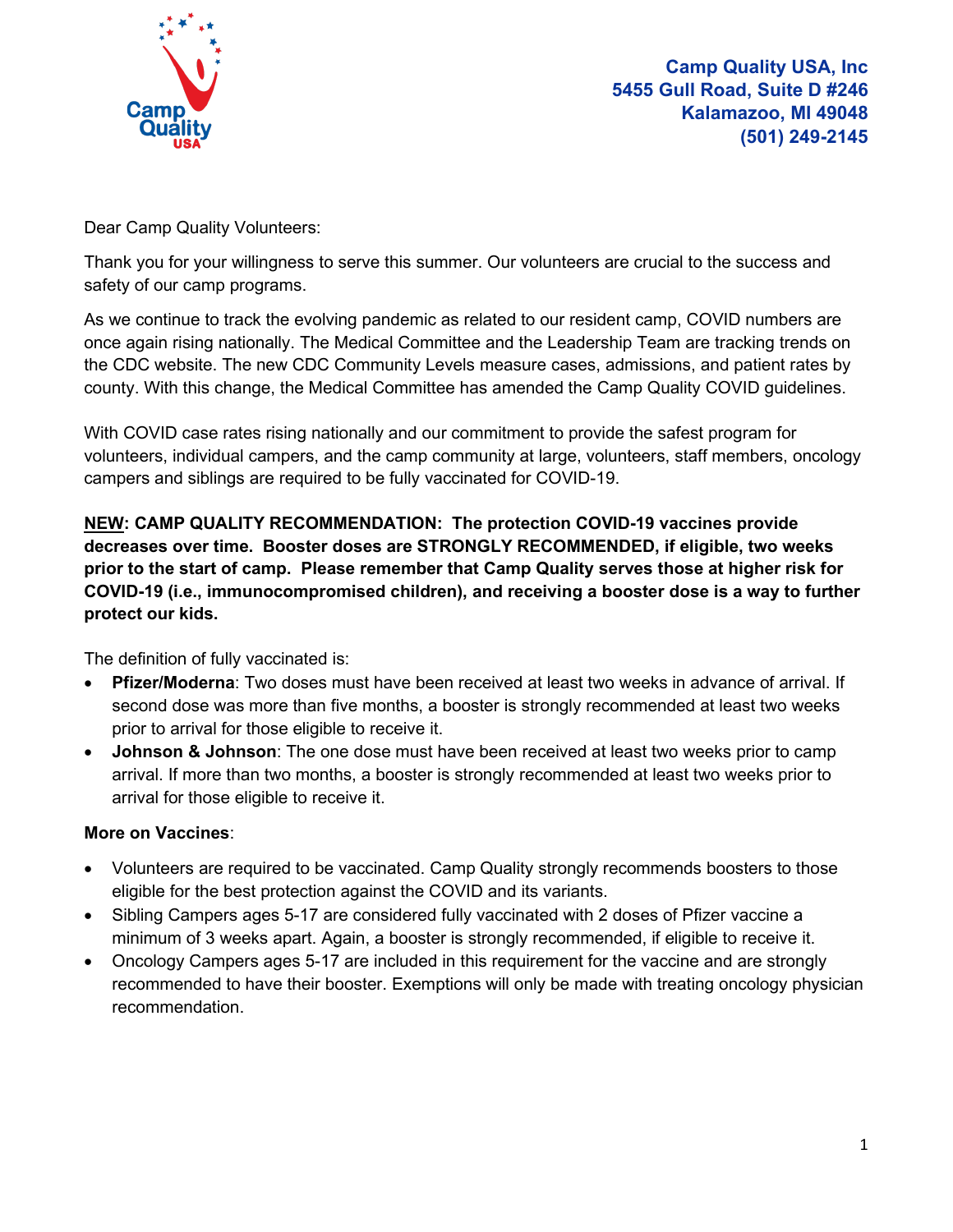

Dear Camp Quality Volunteers:

Thank you for your willingness to serve this summer. Our volunteers are crucial to the success and safety of our camp programs.

As we continue to track the evolving pandemic as related to our resident camp, COVID numbers are once again rising nationally. The Medical Committee and the Leadership Team are tracking trends on the CDC website. The new CDC Community Levels measure cases, admissions, and patient rates by county. With this change, the Medical Committee has amended the Camp Quality COVID guidelines.

With COVID case rates rising nationally and our commitment to provide the safest program for volunteers, individual campers, and the camp community at large, volunteers, staff members, oncology campers and siblings are required to be fully vaccinated for COVID-19.

**NEW: CAMP QUALITY RECOMMENDATION: The protection COVID-19 vaccines provide decreases over time. Booster doses are STRONGLY RECOMMENDED, if eligible, two weeks prior to the start of camp. Please remember that Camp Quality serves those at higher risk for COVID-19 (i.e., immunocompromised children), and receiving a booster dose is a way to further protect our kids.**

The definition of fully vaccinated is:

- **Pfizer/Moderna**: Two doses must have been received at least two weeks in advance of arrival. If second dose was more than five months, a booster is strongly recommended at least two weeks prior to arrival for those eligible to receive it.
- **Johnson & Johnson**: The one dose must have been received at least two weeks prior to camp arrival. If more than two months, a booster is strongly recommended at least two weeks prior to arrival for those eligible to receive it.

# **More on Vaccines**:

- Volunteers are required to be vaccinated. Camp Quality strongly recommends boosters to those eligible for the best protection against the COVID and its variants.
- Sibling Campers ages 5-17 are considered fully vaccinated with 2 doses of Pfizer vaccine a minimum of 3 weeks apart. Again, a booster is strongly recommended, if eligible to receive it.
- Oncology Campers ages 5-17 are included in this requirement for the vaccine and are strongly recommended to have their booster. Exemptions will only be made with treating oncology physician recommendation.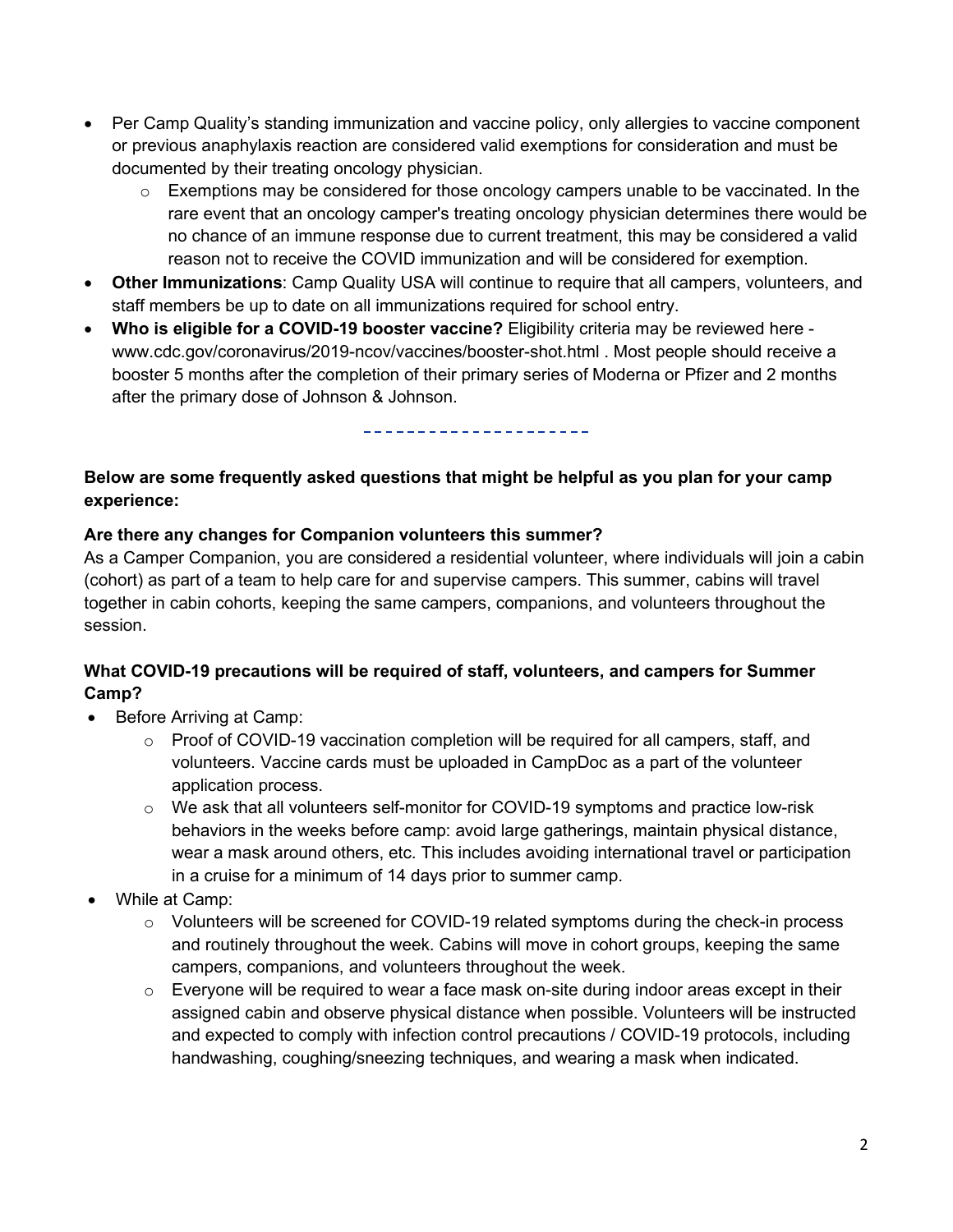- Per Camp Quality's standing immunization and vaccine policy, only allergies to vaccine component or previous anaphylaxis reaction are considered valid exemptions for consideration and must be documented by their treating oncology physician.
	- $\circ$  Exemptions may be considered for those oncology campers unable to be vaccinated. In the rare event that an oncology camper's treating oncology physician determines there would be no chance of an immune response due to current treatment, this may be considered a valid reason not to receive the COVID immunization and will be considered for exemption.
- **Other Immunizations**: Camp Quality USA will continue to require that all campers, volunteers, and staff members be up to date on all immunizations required for school entry.
- **Who is eligible for a COVID-19 booster vaccine?** Eligibility criteria may be reviewed here www.cdc.gov/coronavirus/2019-ncov/vaccines/booster-shot.html . Most people should receive a booster 5 months after the completion of their primary series of Moderna or Pfizer and 2 months after the primary dose of Johnson & Johnson.

-----------------------

### **Below are some frequently asked questions that might be helpful as you plan for your camp experience:**

### **Are there any changes for Companion volunteers this summer?**

As a Camper Companion, you are considered a residential volunteer, where individuals will join a cabin (cohort) as part of a team to help care for and supervise campers. This summer, cabins will travel together in cabin cohorts, keeping the same campers, companions, and volunteers throughout the session.

### **What COVID-19 precautions will be required of staff, volunteers, and campers for Summer Camp?**

- Before Arriving at Camp:
	- $\circ$  Proof of COVID-19 vaccination completion will be required for all campers, staff, and volunteers. Vaccine cards must be uploaded in CampDoc as a part of the volunteer application process.
	- $\circ$  We ask that all volunteers self-monitor for COVID-19 symptoms and practice low-risk behaviors in the weeks before camp: avoid large gatherings, maintain physical distance, wear a mask around others, etc. This includes avoiding international travel or participation in a cruise for a minimum of 14 days prior to summer camp.
- While at Camp:
	- o Volunteers will be screened for COVID-19 related symptoms during the check-in process and routinely throughout the week. Cabins will move in cohort groups, keeping the same campers, companions, and volunteers throughout the week.
	- $\circ$  Everyone will be required to wear a face mask on-site during indoor areas except in their assigned cabin and observe physical distance when possible. Volunteers will be instructed and expected to comply with infection control precautions / COVID-19 protocols, including handwashing, coughing/sneezing techniques, and wearing a mask when indicated.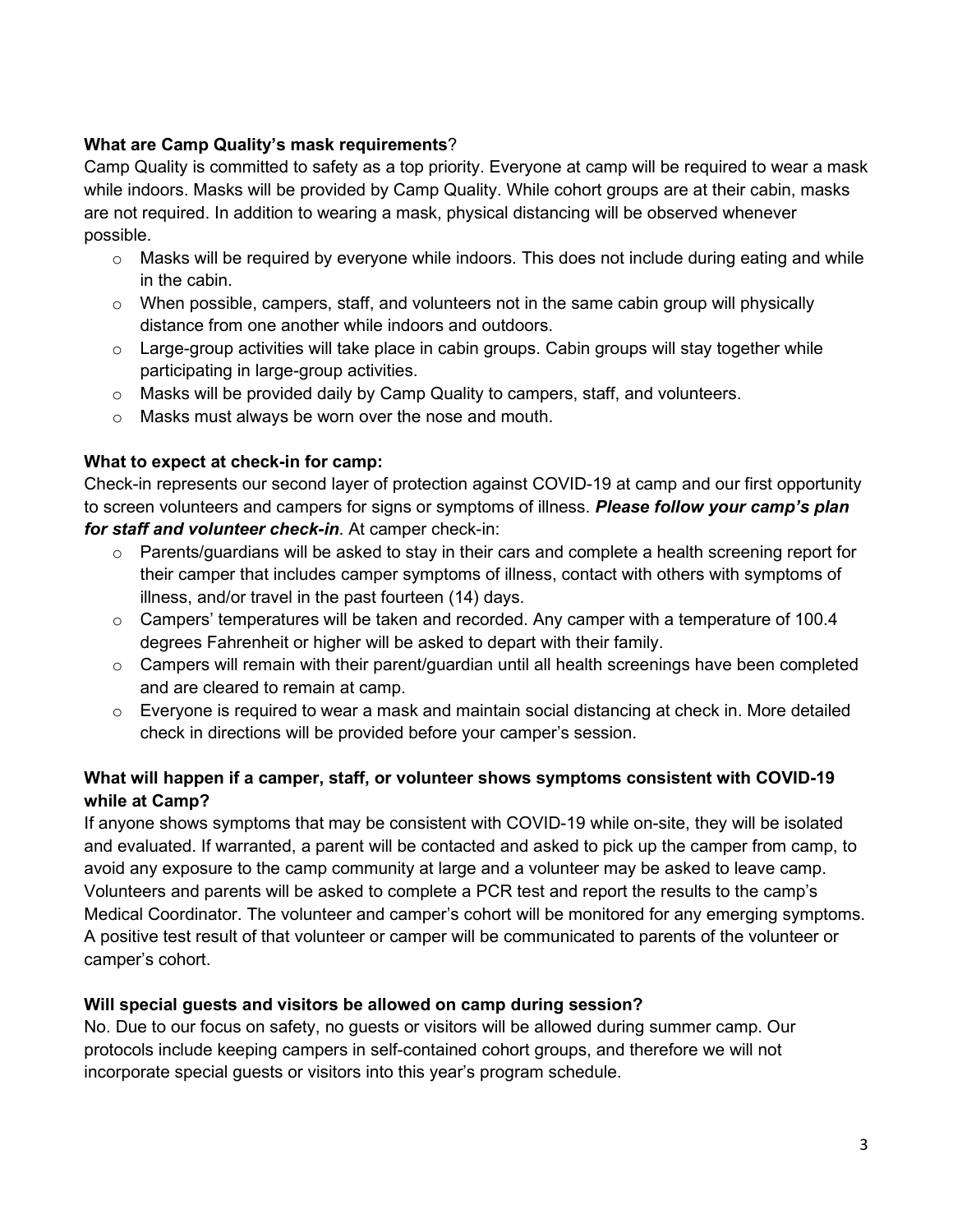### **What are Camp Quality's mask requirements**?

Camp Quality is committed to safety as a top priority. Everyone at camp will be required to wear a mask while indoors. Masks will be provided by Camp Quality. While cohort groups are at their cabin, masks are not required. In addition to wearing a mask, physical distancing will be observed whenever possible.

- $\circ$  Masks will be required by everyone while indoors. This does not include during eating and while in the cabin.
- $\circ$  When possible, campers, staff, and volunteers not in the same cabin group will physically distance from one another while indoors and outdoors.
- $\circ$  Large-group activities will take place in cabin groups. Cabin groups will stay together while participating in large-group activities.
- $\circ$  Masks will be provided daily by Camp Quality to campers, staff, and volunteers.
- o Masks must always be worn over the nose and mouth.

### **What to expect at check-in for camp:**

Check-in represents our second layer of protection against COVID-19 at camp and our first opportunity to screen volunteers and campers for signs or symptoms of illness. *Please follow your camp's plan for staff and volunteer check-in*. At camper check-in:

- $\circ$  Parents/guardians will be asked to stay in their cars and complete a health screening report for their camper that includes camper symptoms of illness, contact with others with symptoms of illness, and/or travel in the past fourteen (14) days.
- $\circ$  Campers' temperatures will be taken and recorded. Any camper with a temperature of 100.4 degrees Fahrenheit or higher will be asked to depart with their family.
- $\circ$  Campers will remain with their parent/guardian until all health screenings have been completed and are cleared to remain at camp.
- $\circ$  Everyone is required to wear a mask and maintain social distancing at check in. More detailed check in directions will be provided before your camper's session.

# **What will happen if a camper, staff, or volunteer shows symptoms consistent with COVID-19 while at Camp?**

If anyone shows symptoms that may be consistent with COVID-19 while on-site, they will be isolated and evaluated. If warranted, a parent will be contacted and asked to pick up the camper from camp, to avoid any exposure to the camp community at large and a volunteer may be asked to leave camp. Volunteers and parents will be asked to complete a PCR test and report the results to the camp's Medical Coordinator. The volunteer and camper's cohort will be monitored for any emerging symptoms. A positive test result of that volunteer or camper will be communicated to parents of the volunteer or camper's cohort.

### **Will special guests and visitors be allowed on camp during session?**

No. Due to our focus on safety, no guests or visitors will be allowed during summer camp. Our protocols include keeping campers in self-contained cohort groups, and therefore we will not incorporate special guests or visitors into this year's program schedule.